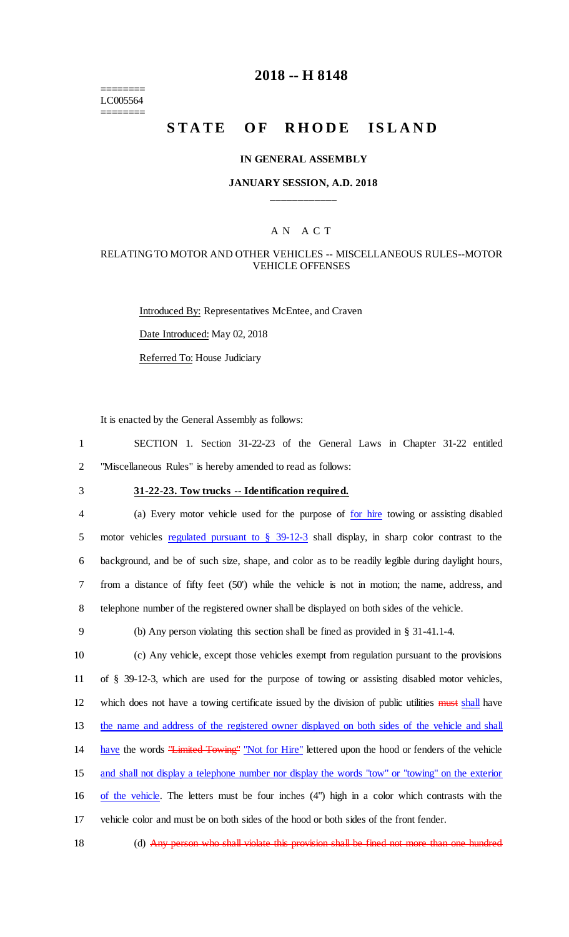======== LC005564 ========

# **2018 -- H 8148**

# STATE OF RHODE ISLAND

#### **IN GENERAL ASSEMBLY**

### **JANUARY SESSION, A.D. 2018 \_\_\_\_\_\_\_\_\_\_\_\_**

#### A N A C T

## RELATING TO MOTOR AND OTHER VEHICLES -- MISCELLANEOUS RULES--MOTOR VEHICLE OFFENSES

Introduced By: Representatives McEntee, and Craven Date Introduced: May 02, 2018 Referred To: House Judiciary

It is enacted by the General Assembly as follows:

1 SECTION 1. Section 31-22-23 of the General Laws in Chapter 31-22 entitled 2 "Miscellaneous Rules" is hereby amended to read as follows:

# 3 **31-22-23. Tow trucks -- Identification required.**

 (a) Every motor vehicle used for the purpose of for hire towing or assisting disabled 5 motor vehicles regulated pursuant to § 39-12-3 shall display, in sharp color contrast to the background, and be of such size, shape, and color as to be readily legible during daylight hours, from a distance of fifty feet (50') while the vehicle is not in motion; the name, address, and telephone number of the registered owner shall be displayed on both sides of the vehicle.

9 (b) Any person violating this section shall be fined as provided in § 31-41.1-4.

 (c) Any vehicle, except those vehicles exempt from regulation pursuant to the provisions of § 39-12-3, which are used for the purpose of towing or assisting disabled motor vehicles, 12 which does not have a towing certificate issued by the division of public utilities must shall have the name and address of the registered owner displayed on both sides of the vehicle and shall 14 have the words "Limited Towing" "Not for Hire" lettered upon the hood or fenders of the vehicle and shall not display a telephone number nor display the words "tow" or "towing" on the exterior of the vehicle. The letters must be four inches (4") high in a color which contrasts with the vehicle color and must be on both sides of the hood or both sides of the front fender.

18 (d) Any person who shall violate this provision shall be fined not more than one hundred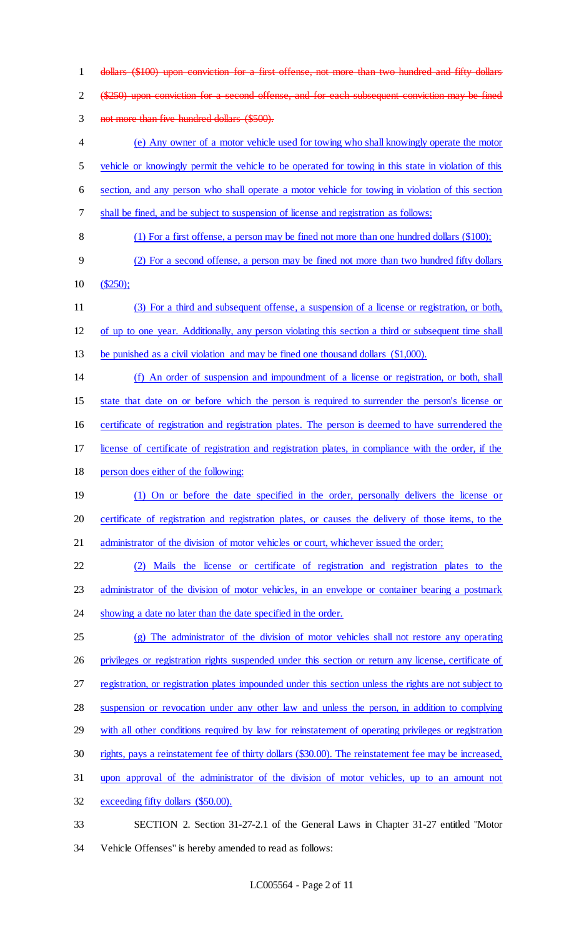dollars (\$100) upon conviction for a first offense, not more than two hundred and fifty dollars 2 (\$250) upon conviction for a second offense, and for each subsequent conviction may be fined not more than five hundred dollars (\$500). (e) Any owner of a motor vehicle used for towing who shall knowingly operate the motor vehicle or knowingly permit the vehicle to be operated for towing in this state in violation of this section, and any person who shall operate a motor vehicle for towing in violation of this section shall be fined, and be subject to suspension of license and registration as follows: (1) For a first offense, a person may be fined not more than one hundred dollars (\$100); (2) For a second offense, a person may be fined not more than two hundred fifty dollars (\$250); (3) For a third and subsequent offense, a suspension of a license or registration, or both, of up to one year. Additionally, any person violating this section a third or subsequent time shall be punished as a civil violation and may be fined one thousand dollars (\$1,000). (f) An order of suspension and impoundment of a license or registration, or both, shall state that date on or before which the person is required to surrender the person's license or 16 certificate of registration and registration plates. The person is deemed to have surrendered the license of certificate of registration and registration plates, in compliance with the order, if the person does either of the following: (1) On or before the date specified in the order, personally delivers the license or certificate of registration and registration plates, or causes the delivery of those items, to the 21 administrator of the division of motor vehicles or court, whichever issued the order; (2) Mails the license or certificate of registration and registration plates to the administrator of the division of motor vehicles, in an envelope or container bearing a postmark 24 showing a date no later than the date specified in the order. (g) The administrator of the division of motor vehicles shall not restore any operating privileges or registration rights suspended under this section or return any license, certificate of registration, or registration plates impounded under this section unless the rights are not subject to suspension or revocation under any other law and unless the person, in addition to complying 29 with all other conditions required by law for reinstatement of operating privileges or registration rights, pays a reinstatement fee of thirty dollars (\$30.00). The reinstatement fee may be increased, upon approval of the administrator of the division of motor vehicles, up to an amount not exceeding fifty dollars (\$50.00). SECTION 2. Section 31-27-2.1 of the General Laws in Chapter 31-27 entitled "Motor Vehicle Offenses" is hereby amended to read as follows: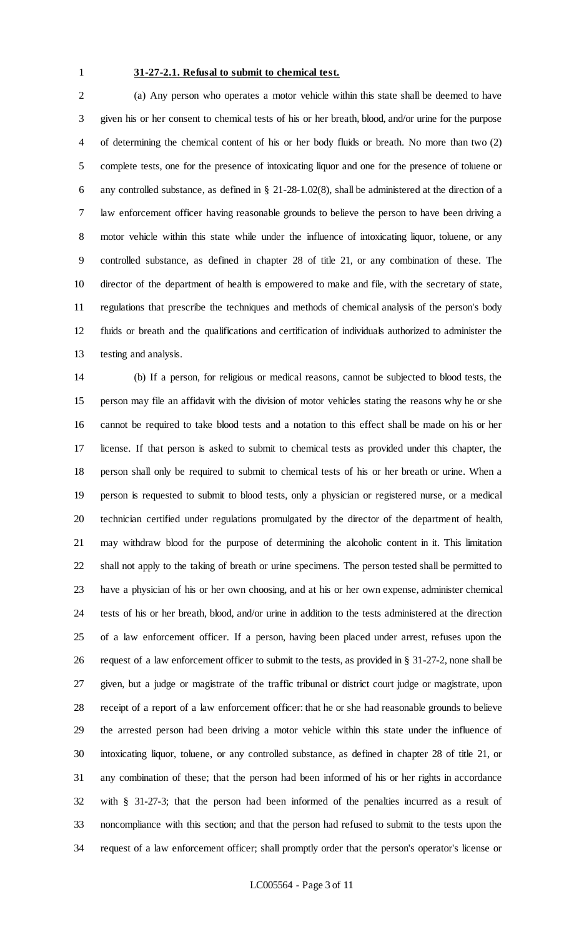#### **31-27-2.1. Refusal to submit to chemical test.**

 (a) Any person who operates a motor vehicle within this state shall be deemed to have given his or her consent to chemical tests of his or her breath, blood, and/or urine for the purpose of determining the chemical content of his or her body fluids or breath. No more than two (2) complete tests, one for the presence of intoxicating liquor and one for the presence of toluene or any controlled substance, as defined in § 21-28-1.02(8), shall be administered at the direction of a law enforcement officer having reasonable grounds to believe the person to have been driving a motor vehicle within this state while under the influence of intoxicating liquor, toluene, or any controlled substance, as defined in chapter 28 of title 21, or any combination of these. The director of the department of health is empowered to make and file, with the secretary of state, regulations that prescribe the techniques and methods of chemical analysis of the person's body fluids or breath and the qualifications and certification of individuals authorized to administer the testing and analysis.

 (b) If a person, for religious or medical reasons, cannot be subjected to blood tests, the person may file an affidavit with the division of motor vehicles stating the reasons why he or she cannot be required to take blood tests and a notation to this effect shall be made on his or her license. If that person is asked to submit to chemical tests as provided under this chapter, the person shall only be required to submit to chemical tests of his or her breath or urine. When a person is requested to submit to blood tests, only a physician or registered nurse, or a medical technician certified under regulations promulgated by the director of the department of health, may withdraw blood for the purpose of determining the alcoholic content in it. This limitation shall not apply to the taking of breath or urine specimens. The person tested shall be permitted to have a physician of his or her own choosing, and at his or her own expense, administer chemical tests of his or her breath, blood, and/or urine in addition to the tests administered at the direction of a law enforcement officer. If a person, having been placed under arrest, refuses upon the request of a law enforcement officer to submit to the tests, as provided in § 31-27-2, none shall be given, but a judge or magistrate of the traffic tribunal or district court judge or magistrate, upon receipt of a report of a law enforcement officer: that he or she had reasonable grounds to believe the arrested person had been driving a motor vehicle within this state under the influence of intoxicating liquor, toluene, or any controlled substance, as defined in chapter 28 of title 21, or any combination of these; that the person had been informed of his or her rights in accordance with § 31-27-3; that the person had been informed of the penalties incurred as a result of noncompliance with this section; and that the person had refused to submit to the tests upon the request of a law enforcement officer; shall promptly order that the person's operator's license or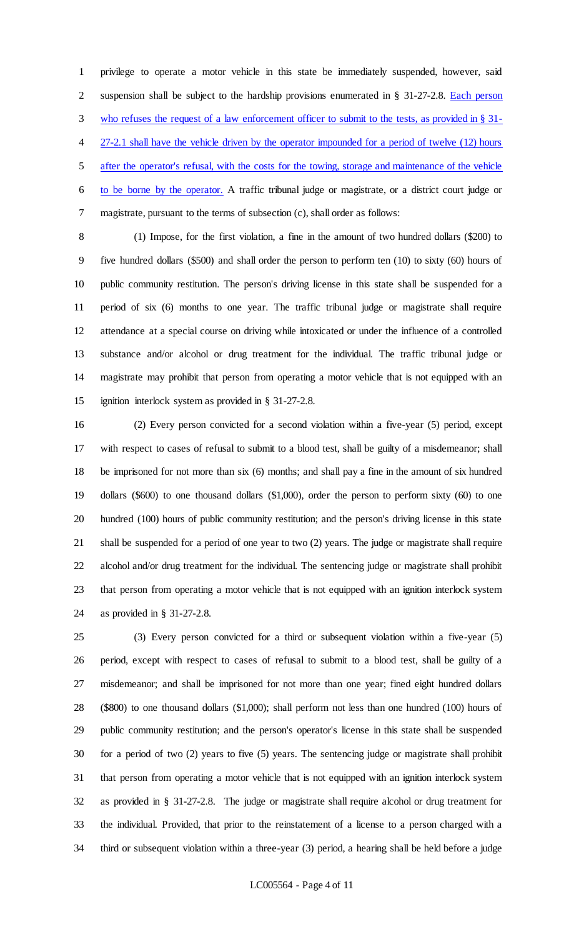privilege to operate a motor vehicle in this state be immediately suspended, however, said suspension shall be subject to the hardship provisions enumerated in § 31-27-2.8. Each person 3 who refuses the request of a law enforcement officer to submit to the tests, as provided in § 31-4 27-2.1 shall have the vehicle driven by the operator impounded for a period of twelve (12) hours after the operator's refusal, with the costs for the towing, storage and maintenance of the vehicle to be borne by the operator. A traffic tribunal judge or magistrate, or a district court judge or magistrate, pursuant to the terms of subsection (c), shall order as follows:

 (1) Impose, for the first violation, a fine in the amount of two hundred dollars (\$200) to five hundred dollars (\$500) and shall order the person to perform ten (10) to sixty (60) hours of public community restitution. The person's driving license in this state shall be suspended for a period of six (6) months to one year. The traffic tribunal judge or magistrate shall require attendance at a special course on driving while intoxicated or under the influence of a controlled substance and/or alcohol or drug treatment for the individual. The traffic tribunal judge or magistrate may prohibit that person from operating a motor vehicle that is not equipped with an ignition interlock system as provided in § 31-27-2.8.

 (2) Every person convicted for a second violation within a five-year (5) period, except with respect to cases of refusal to submit to a blood test, shall be guilty of a misdemeanor; shall be imprisoned for not more than six (6) months; and shall pay a fine in the amount of six hundred dollars (\$600) to one thousand dollars (\$1,000), order the person to perform sixty (60) to one hundred (100) hours of public community restitution; and the person's driving license in this state shall be suspended for a period of one year to two (2) years. The judge or magistrate shall require alcohol and/or drug treatment for the individual. The sentencing judge or magistrate shall prohibit that person from operating a motor vehicle that is not equipped with an ignition interlock system as provided in § 31-27-2.8.

 (3) Every person convicted for a third or subsequent violation within a five-year (5) period, except with respect to cases of refusal to submit to a blood test, shall be guilty of a misdemeanor; and shall be imprisoned for not more than one year; fined eight hundred dollars (\$800) to one thousand dollars (\$1,000); shall perform not less than one hundred (100) hours of public community restitution; and the person's operator's license in this state shall be suspended for a period of two (2) years to five (5) years. The sentencing judge or magistrate shall prohibit that person from operating a motor vehicle that is not equipped with an ignition interlock system as provided in § 31-27-2.8. The judge or magistrate shall require alcohol or drug treatment for the individual. Provided, that prior to the reinstatement of a license to a person charged with a third or subsequent violation within a three-year (3) period, a hearing shall be held before a judge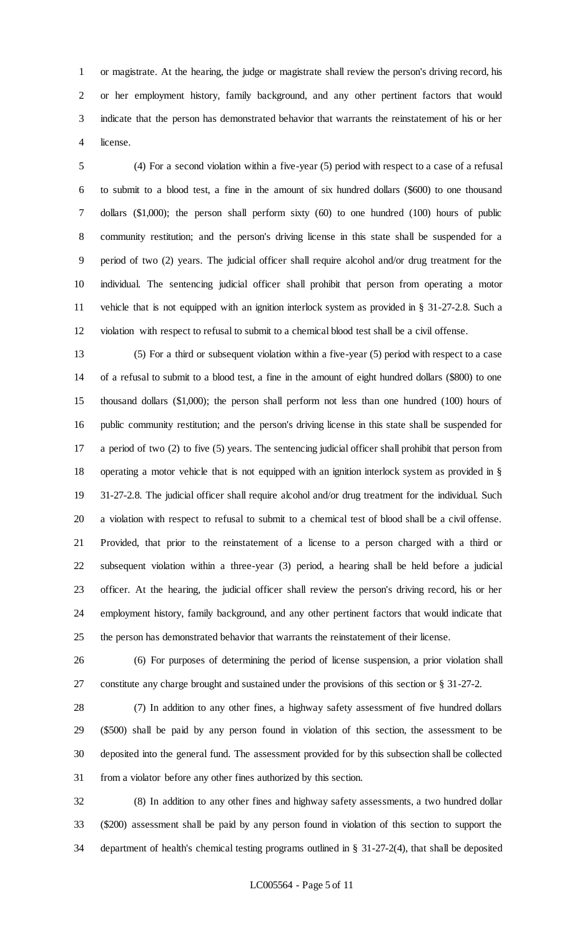or magistrate. At the hearing, the judge or magistrate shall review the person's driving record, his or her employment history, family background, and any other pertinent factors that would indicate that the person has demonstrated behavior that warrants the reinstatement of his or her license.

 (4) For a second violation within a five-year (5) period with respect to a case of a refusal to submit to a blood test, a fine in the amount of six hundred dollars (\$600) to one thousand dollars (\$1,000); the person shall perform sixty (60) to one hundred (100) hours of public community restitution; and the person's driving license in this state shall be suspended for a period of two (2) years. The judicial officer shall require alcohol and/or drug treatment for the individual. The sentencing judicial officer shall prohibit that person from operating a motor vehicle that is not equipped with an ignition interlock system as provided in § 31-27-2.8. Such a violation with respect to refusal to submit to a chemical blood test shall be a civil offense.

 (5) For a third or subsequent violation within a five-year (5) period with respect to a case of a refusal to submit to a blood test, a fine in the amount of eight hundred dollars (\$800) to one thousand dollars (\$1,000); the person shall perform not less than one hundred (100) hours of public community restitution; and the person's driving license in this state shall be suspended for a period of two (2) to five (5) years. The sentencing judicial officer shall prohibit that person from operating a motor vehicle that is not equipped with an ignition interlock system as provided in § 31-27-2.8. The judicial officer shall require alcohol and/or drug treatment for the individual. Such a violation with respect to refusal to submit to a chemical test of blood shall be a civil offense. Provided, that prior to the reinstatement of a license to a person charged with a third or subsequent violation within a three-year (3) period, a hearing shall be held before a judicial officer. At the hearing, the judicial officer shall review the person's driving record, his or her employment history, family background, and any other pertinent factors that would indicate that the person has demonstrated behavior that warrants the reinstatement of their license.

 (6) For purposes of determining the period of license suspension, a prior violation shall constitute any charge brought and sustained under the provisions of this section or § 31-27-2.

 (7) In addition to any other fines, a highway safety assessment of five hundred dollars (\$500) shall be paid by any person found in violation of this section, the assessment to be deposited into the general fund. The assessment provided for by this subsection shall be collected from a violator before any other fines authorized by this section.

 (8) In addition to any other fines and highway safety assessments, a two hundred dollar (\$200) assessment shall be paid by any person found in violation of this section to support the department of health's chemical testing programs outlined in § 31-27-2(4), that shall be deposited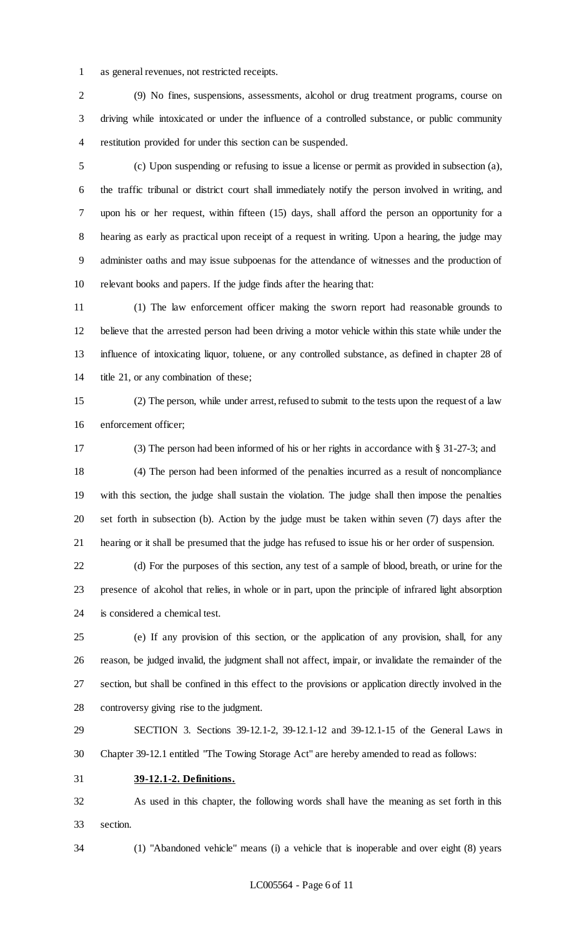as general revenues, not restricted receipts.

 (9) No fines, suspensions, assessments, alcohol or drug treatment programs, course on driving while intoxicated or under the influence of a controlled substance, or public community restitution provided for under this section can be suspended.

 (c) Upon suspending or refusing to issue a license or permit as provided in subsection (a), the traffic tribunal or district court shall immediately notify the person involved in writing, and upon his or her request, within fifteen (15) days, shall afford the person an opportunity for a hearing as early as practical upon receipt of a request in writing. Upon a hearing, the judge may administer oaths and may issue subpoenas for the attendance of witnesses and the production of relevant books and papers. If the judge finds after the hearing that:

 (1) The law enforcement officer making the sworn report had reasonable grounds to believe that the arrested person had been driving a motor vehicle within this state while under the influence of intoxicating liquor, toluene, or any controlled substance, as defined in chapter 28 of 14 title 21, or any combination of these;

 (2) The person, while under arrest, refused to submit to the tests upon the request of a law enforcement officer;

(3) The person had been informed of his or her rights in accordance with § 31-27-3; and

 (4) The person had been informed of the penalties incurred as a result of noncompliance with this section, the judge shall sustain the violation. The judge shall then impose the penalties set forth in subsection (b). Action by the judge must be taken within seven (7) days after the hearing or it shall be presumed that the judge has refused to issue his or her order of suspension.

 (d) For the purposes of this section, any test of a sample of blood, breath, or urine for the presence of alcohol that relies, in whole or in part, upon the principle of infrared light absorption is considered a chemical test.

 (e) If any provision of this section, or the application of any provision, shall, for any reason, be judged invalid, the judgment shall not affect, impair, or invalidate the remainder of the section, but shall be confined in this effect to the provisions or application directly involved in the controversy giving rise to the judgment.

 SECTION 3. Sections 39-12.1-2, 39-12.1-12 and 39-12.1-15 of the General Laws in Chapter 39-12.1 entitled "The Towing Storage Act" are hereby amended to read as follows:

**39-12.1-2. Definitions.**

 As used in this chapter, the following words shall have the meaning as set forth in this section.

(1) "Abandoned vehicle" means (i) a vehicle that is inoperable and over eight (8) years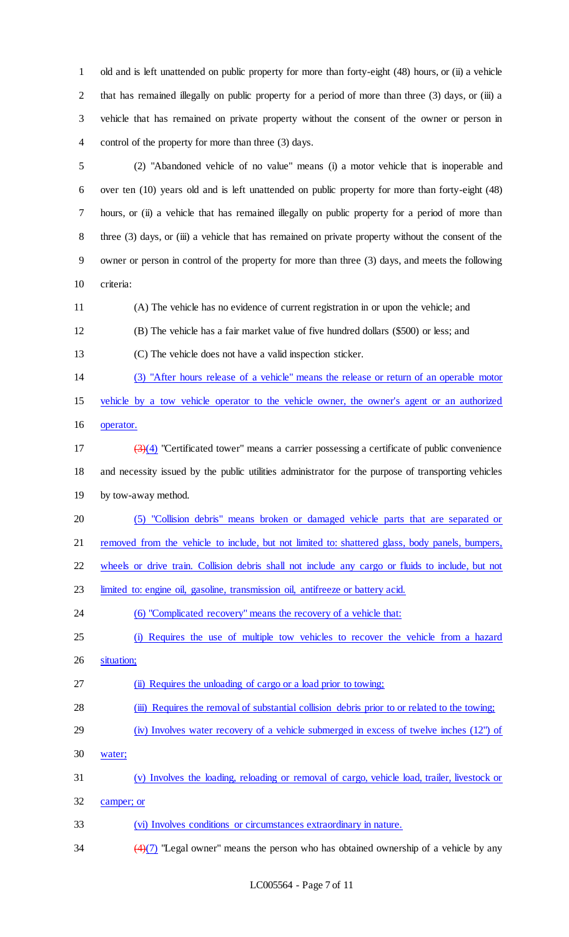old and is left unattended on public property for more than forty-eight (48) hours, or (ii) a vehicle 2 that has remained illegally on public property for a period of more than three (3) days, or (iii) a vehicle that has remained on private property without the consent of the owner or person in control of the property for more than three (3) days.

 (2) "Abandoned vehicle of no value" means (i) a motor vehicle that is inoperable and over ten (10) years old and is left unattended on public property for more than forty-eight (48) hours, or (ii) a vehicle that has remained illegally on public property for a period of more than 8 three (3) days, or (iii) a vehicle that has remained on private property without the consent of the owner or person in control of the property for more than three (3) days, and meets the following criteria:

(A) The vehicle has no evidence of current registration in or upon the vehicle; and

(B) The vehicle has a fair market value of five hundred dollars (\$500) or less; and

(C) The vehicle does not have a valid inspection sticker.

(3) "After hours release of a vehicle" means the release or return of an operable motor

vehicle by a tow vehicle operator to the vehicle owner, the owner's agent or an authorized

operator.

 $\left(\frac{3}{4}\right)$  "Certificated tower" means a carrier possessing a certificate of public convenience and necessity issued by the public utilities administrator for the purpose of transporting vehicles by tow-away method.

(5) "Collision debris" means broken or damaged vehicle parts that are separated or

21 removed from the vehicle to include, but not limited to: shattered glass, body panels, bumpers,

wheels or drive train. Collision debris shall not include any cargo or fluids to include, but not

limited to: engine oil, gasoline, transmission oil, antifreeze or battery acid.

24 (6) "Complicated recovery" means the recovery of a vehicle that:

- (i) Requires the use of multiple tow vehicles to recover the vehicle from a hazard
- situation;
- 27 (ii) Requires the unloading of cargo or a load prior to towing;
- (iii) Requires the removal of substantial collision debris prior to or related to the towing;
- (iv) Involves water recovery of a vehicle submerged in excess of twelve inches (12") of
- water;
- (v) Involves the loading, reloading or removal of cargo, vehicle load, trailer, livestock or
- camper; or
- (vi) Involves conditions or circumstances extraordinary in nature.
- $\frac{(4)(7)}{2}$  "Legal owner" means the person who has obtained ownership of a vehicle by any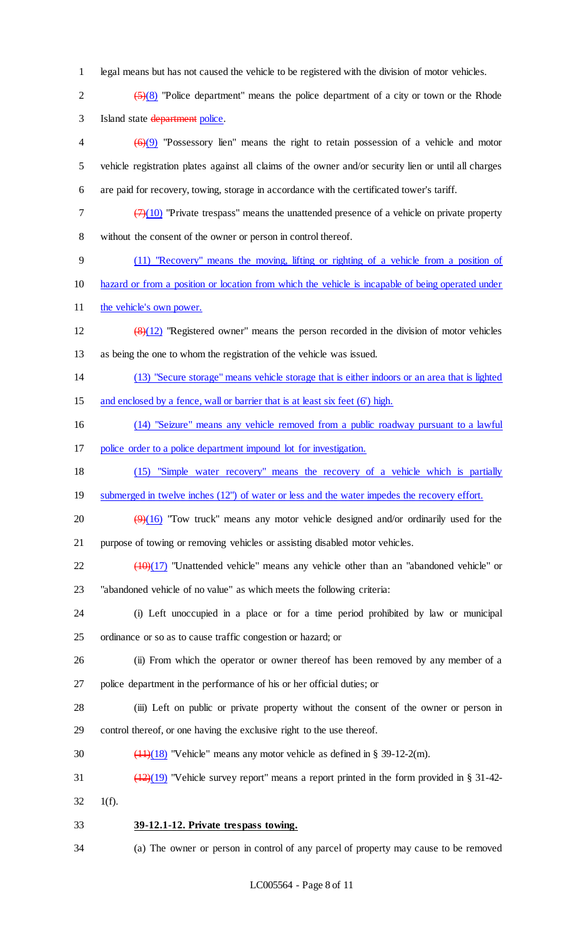legal means but has not caused the vehicle to be registered with the division of motor vehicles.

2  $(5)(8)$  "Police department" means the police department of a city or town or the Rhode Island state department police.

 $\left(6\right)(9)$  "Possessory lien" means the right to retain possession of a vehicle and motor vehicle registration plates against all claims of the owner and/or security lien or until all charges are paid for recovery, towing, storage in accordance with the certificated tower's tariff.

- $7 \left( \frac{7}{10} \right)$  "Private trespass" means the unattended presence of a vehicle on private property without the consent of the owner or person in control thereof.
- (11) "Recovery" means the moving, lifting or righting of a vehicle from a position of
- hazard or from a position or location from which the vehicle is incapable of being operated under
- 11 the vehicle's own power.
- 12  $(8)(12)$  "Registered owner" means the person recorded in the division of motor vehicles as being the one to whom the registration of the vehicle was issued.
- (13) "Secure storage" means vehicle storage that is either indoors or an area that is lighted 15 and enclosed by a fence, wall or barrier that is at least six feet (6') high.
- (14) "Seizure" means any vehicle removed from a public roadway pursuant to a lawful
- police order to a police department impound lot for investigation.
- (15) "Simple water recovery" means the recovery of a vehicle which is partially
- 19 submerged in twelve inches (12") of water or less and the water impedes the recovery effort.
- 20  $\left(\frac{9}{16}\right)$  "Tow truck" means any motor vehicle designed and/or ordinarily used for the purpose of towing or removing vehicles or assisting disabled motor vehicles.
- $\left(\frac{10}{17}\right)$  "Unattended vehicle" means any vehicle other than an "abandoned vehicle" or "abandoned vehicle of no value" as which meets the following criteria:
- (i) Left unoccupied in a place or for a time period prohibited by law or municipal ordinance or so as to cause traffic congestion or hazard; or
- (ii) From which the operator or owner thereof has been removed by any member of a police department in the performance of his or her official duties; or
- (iii) Left on public or private property without the consent of the owner or person in control thereof, or one having the exclusive right to the use thereof.
- 30  $\left(\frac{11}{18}\right)$  "Vehicle" means any motor vehicle as defined in § 39-12-2(m).
- 31  $\left(\frac{(12)}{(19)}\right)$  "Vehicle survey report" means a report printed in the form provided in § 31-42- $32 \t1(f).$
- **39-12.1-12. Private trespass towing.**
- (a) The owner or person in control of any parcel of property may cause to be removed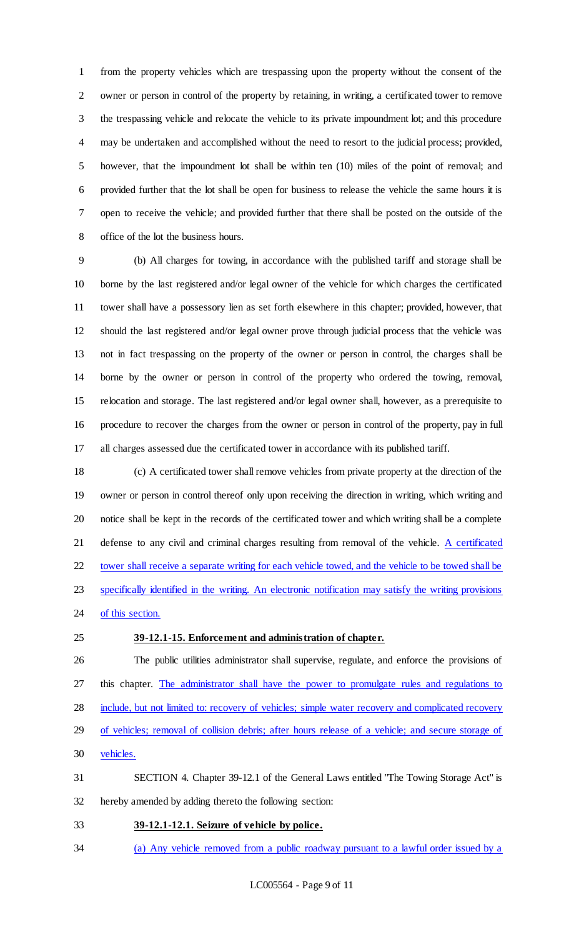from the property vehicles which are trespassing upon the property without the consent of the owner or person in control of the property by retaining, in writing, a certificated tower to remove the trespassing vehicle and relocate the vehicle to its private impoundment lot; and this procedure may be undertaken and accomplished without the need to resort to the judicial process; provided, however, that the impoundment lot shall be within ten (10) miles of the point of removal; and provided further that the lot shall be open for business to release the vehicle the same hours it is open to receive the vehicle; and provided further that there shall be posted on the outside of the office of the lot the business hours.

 (b) All charges for towing, in accordance with the published tariff and storage shall be borne by the last registered and/or legal owner of the vehicle for which charges the certificated tower shall have a possessory lien as set forth elsewhere in this chapter; provided, however, that should the last registered and/or legal owner prove through judicial process that the vehicle was not in fact trespassing on the property of the owner or person in control, the charges shall be borne by the owner or person in control of the property who ordered the towing, removal, relocation and storage. The last registered and/or legal owner shall, however, as a prerequisite to procedure to recover the charges from the owner or person in control of the property, pay in full all charges assessed due the certificated tower in accordance with its published tariff.

 (c) A certificated tower shall remove vehicles from private property at the direction of the owner or person in control thereof only upon receiving the direction in writing, which writing and notice shall be kept in the records of the certificated tower and which writing shall be a complete 21 defense to any civil and criminal charges resulting from removal of the vehicle. A certificated tower shall receive a separate writing for each vehicle towed, and the vehicle to be towed shall be specifically identified in the writing. An electronic notification may satisfy the writing provisions 24 of this section.

#### **39-12.1-15. Enforcement and administration of chapter.**

 The public utilities administrator shall supervise, regulate, and enforce the provisions of this chapter. The administrator shall have the power to promulgate rules and regulations to include, but not limited to: recovery of vehicles; simple water recovery and complicated recovery of vehicles; removal of collision debris; after hours release of a vehicle; and secure storage of vehicles. SECTION 4. Chapter 39-12.1 of the General Laws entitled "The Towing Storage Act" is

hereby amended by adding thereto the following section:

**39-12.1-12.1. Seizure of vehicle by police.** 

(a) Any vehicle removed from a public roadway pursuant to a lawful order issued by a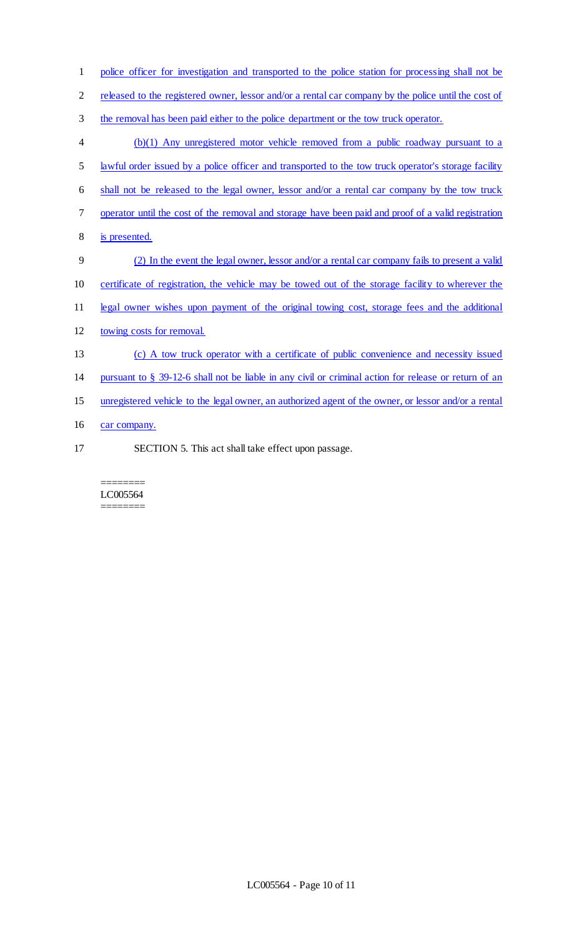| $\mathbf{1}$   | police officer for investigation and transported to the police station for processing shall not be    |
|----------------|-------------------------------------------------------------------------------------------------------|
| $\mathbf{2}$   | released to the registered owner, lessor and/or a rental car company by the police until the cost of  |
| $\mathfrak{Z}$ | the removal has been paid either to the police department or the tow truck operator.                  |
| $\overline{4}$ | (b)(1) Any unregistered motor vehicle removed from a public roadway pursuant to a                     |
| 5              | lawful order issued by a police officer and transported to the tow truck operator's storage facility  |
| 6              | shall not be released to the legal owner, lessor and/or a rental car company by the tow truck         |
| $\tau$         | operator until the cost of the removal and storage have been paid and proof of a valid registration   |
| 8              | is presented.                                                                                         |
| 9              | (2) In the event the legal owner, lessor and/or a rental car company fails to present a valid         |
| 10             | certificate of registration, the vehicle may be towed out of the storage facility to wherever the     |
| 11             | legal owner wishes upon payment of the original towing cost, storage fees and the additional          |
| 12             | towing costs for removal.                                                                             |
| 13             | (c) A tow truck operator with a certificate of public convenience and necessity issued                |
| 14             | pursuant to § 39-12-6 shall not be liable in any civil or criminal action for release or return of an |
| 15             | unregistered vehicle to the legal owner, an authorized agent of the owner, or lessor and/or a rental  |
| 16             | car company.                                                                                          |
|                |                                                                                                       |

17 SECTION 5. This act shall take effect upon passage.

#### ======== LC005564 ========